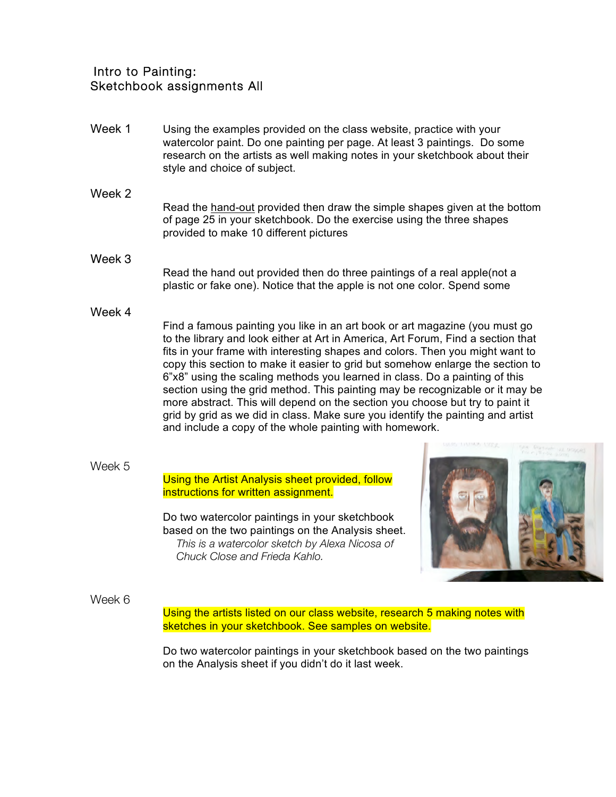## Intro to Painting: Sketchbook assignments All

- Week 1 Using the examples provided on the class website, practice with your watercolor paint. Do one painting per page. At least 3 paintings. Do some research on the artists as well making notes in your sketchbook about their style and choice of subject.
	- Read the hand-out provided then draw the simple shapes given at the bottom of page 25 in your sketchbook. Do the exercise using the three shapes provided to make 10 different pictures
- Week 3 Read the hand out provided then do three paintings of a real apple(not a plastic or fake one). Notice that the apple is not one color. Spend some
- Week 4

Week 2

Find a famous painting you like in an art book or art magazine (you must go to the library and look either at Art in America, Art Forum, Find a section that fits in your frame with interesting shapes and colors. Then you might want to copy this section to make it easier to grid but somehow enlarge the section to 6"x8" using the scaling methods you learned in class. Do a painting of this section using the grid method. This painting may be recognizable or it may be more abstract. This will depend on the section you choose but try to paint it grid by grid as we did in class. Make sure you identify the painting and artist and include a copy of the whole painting with homework.

Week 5

## Using the Artist Analysis sheet provided, follow instructions for written assignment.

Do two watercolor paintings in your sketchbook based on the two paintings on the Analysis sheet. *This is a watercolor sketch by Alexa Nicosa of Chuck Close and Frieda Kahlo.*



## Week 6

Using the artists listed on our class website, research 5 making notes with sketches in your sketchbook. See samples on website.

Do two watercolor paintings in your sketchbook based on the two paintings on the Analysis sheet if you didn't do it last week.